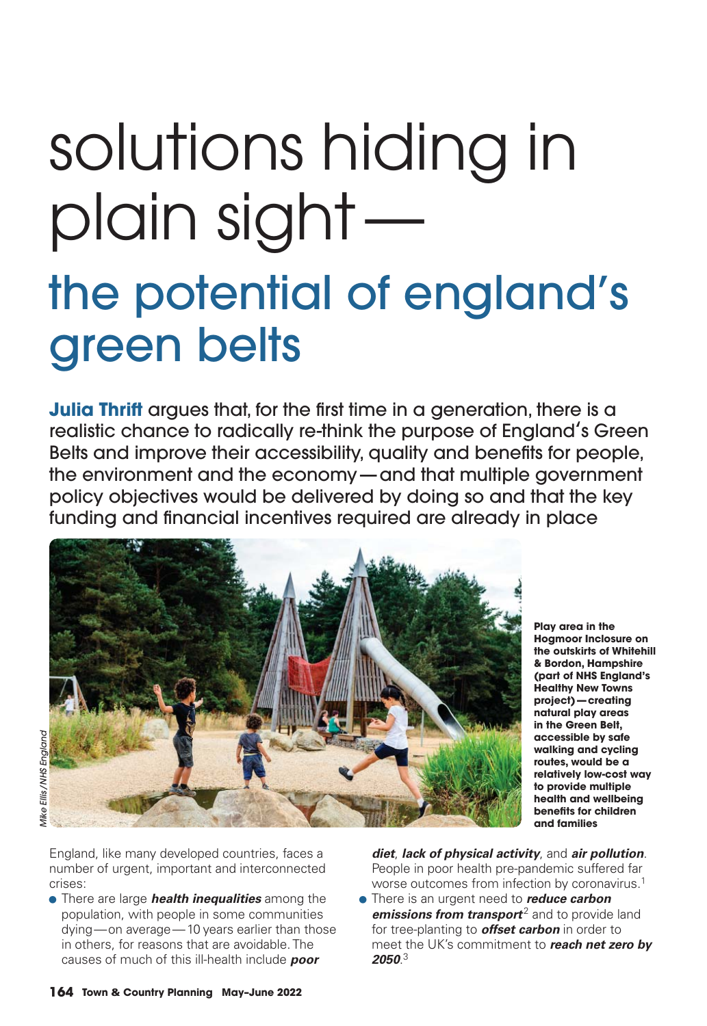# solutions hiding in plain sight the potential of england's green belts

**Julia Thrift** argues that, for the first time in a generation, there is a realistic chance to radically re-think the purpose of England's Green Belts and improve their accessibility, quality and benefits for people, the environment and the economy — and that multiple government policy objectives would be delivered by doing so and that the key funding and financial incentives required are already in place



**Aike Ellis / NHS Enaland** *Mike Ellis / NHS England*

**Hogmoor Inclosure on the outskirts of Whitehill & Bordon, Hampshire (part of NHS England's Healthy New Towns project) — creating natural play areas in the Green Belt, accessible by safe walking and cycling routes, would be a relatively low-cost way to provide multiple health and wellbeing benefits for children and families**

**Play area in the** 

England, like many developed countries, faces a number of urgent, important and interconnected crises:

• There are large *health inequalities* among the population, with people in some communities dying — on average — 10 years earlier than those in others, for reasons that are avoidable. The causes of much of this ill-health include *poor*

*diet*, *lack of physical activity*, and *air pollution*. People in poor health pre-pandemic suffered far worse outcomes from infection by coronavirus.1

• There is an urgent need to *reduce carbon emissions from transport<sup>2</sup> and to provide land* for tree-planting to *offset carbon* in order to meet the UK's commitment to *reach net zero by 2050*. 3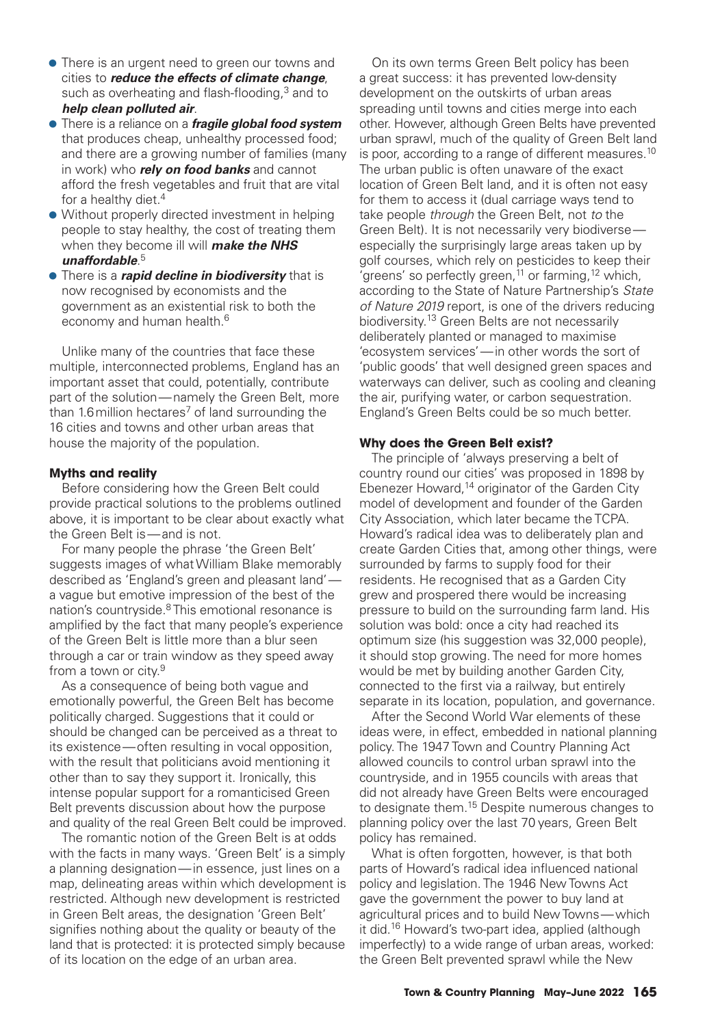- There is an urgent need to green our towns and cities to *reduce the effects of climate change*, such as overheating and flash-flooding, $3$  and to *help clean polluted air*.
- There is a reliance on a *fragile global food system* that produces cheap, unhealthy processed food; and there are a growing number of families (many in work) who *rely on food banks* and cannot afford the fresh vegetables and fruit that are vital for a healthy diet.<sup>4</sup>
- Without properly directed investment in helping people to stay healthy, the cost of treating them when they become ill will *make the NHS*  unaffordable.<sup>5</sup>
- There is a *rapid decline in biodiversity* that is now recognised by economists and the government as an existential risk to both the economy and human health.<sup>6</sup>

 Unlike many of the countries that face these multiple, interconnected problems, England has an important asset that could, potentially, contribute part of the solution — namely the Green Belt, more than 1.6 million hectares<sup>7</sup> of land surrounding the 16 cities and towns and other urban areas that house the majority of the population.

## **Myths and reality**

Before considering how the Green Belt could provide practical solutions to the problems outlined above, it is important to be clear about exactly what the Green Belt is — and is not.

 For many people the phrase 'the Green Belt' suggests images of what William Blake memorably described as 'England's green and pleasant land' a vague but emotive impression of the best of the nation's countryside.<sup>8</sup> This emotional resonance is amplified by the fact that many people's experience of the Green Belt is little more than a blur seen through a car or train window as they speed away from a town or city.<sup>9</sup>

 As a consequence of being both vague and emotionally powerful, the Green Belt has become politically charged. Suggestions that it could or should be changed can be perceived as a threat to its existence — often resulting in vocal opposition, with the result that politicians avoid mentioning it other than to say they support it. Ironically, this intense popular support for a romanticised Green Belt prevents discussion about how the purpose and quality of the real Green Belt could be improved.

 The romantic notion of the Green Belt is at odds with the facts in many ways. 'Green Belt' is a simply a planning designation — in essence, just lines on a map, delineating areas within which development is restricted. Although new development is restricted in Green Belt areas, the designation 'Green Belt' signifies nothing about the quality or beauty of the land that is protected: it is protected simply because of its location on the edge of an urban area.

 On its own terms Green Belt policy has been a great success: it has prevented low-density development on the outskirts of urban areas spreading until towns and cities merge into each other. However, although Green Belts have prevented urban sprawl, much of the quality of Green Belt land is poor, according to a range of different measures.<sup>10</sup> The urban public is often unaware of the exact location of Green Belt land, and it is often not easy for them to access it (dual carriage ways tend to take people *through* the Green Belt, not *to* the Green Belt). It is not necessarily very biodiverse especially the surprisingly large areas taken up by golf courses, which rely on pesticides to keep their greens' so perfectly green,<sup>11</sup> or farming,<sup>12</sup> which, according to the State of Nature Partnership's *State of Nature 2019* report, is one of the drivers reducing biodiversity.13 Green Belts are not necessarily deliberately planted or managed to maximise 'ecosystem services' — in other words the sort of 'public goods' that well designed green spaces and waterways can deliver, such as cooling and cleaning the air, purifying water, or carbon sequestration. England's Green Belts could be so much better.

## **Why does the Green Belt exist?**

The principle of 'always preserving a belt of country round our cities' was proposed in 1898 by Ebenezer Howard,<sup>14</sup> originator of the Garden City model of development and founder of the Garden City Association, which later became the TCPA. Howard's radical idea was to deliberately plan and create Garden Cities that, among other things, were surrounded by farms to supply food for their residents. He recognised that as a Garden City grew and prospered there would be increasing pressure to build on the surrounding farm land. His solution was bold: once a city had reached its optimum size (his suggestion was 32,000 people), it should stop growing. The need for more homes would be met by building another Garden City, connected to the first via a railway, but entirely separate in its location, population, and governance.

 After the Second World War elements of these ideas were, in effect, embedded in national planning policy. The 1947 Town and Country Planning Act allowed councils to control urban sprawl into the countryside, and in 1955 councils with areas that did not already have Green Belts were encouraged to designate them.<sup>15</sup> Despite numerous changes to planning policy over the last 70 years, Green Belt policy has remained.

 What is often forgotten, however, is that both parts of Howard's radical idea influenced national policy and legislation. The 1946 New Towns Act gave the government the power to buy land at agricultural prices and to build New Towns — which it did.16 Howard's two-part idea, applied (although imperfectly) to a wide range of urban areas, worked: the Green Belt prevented sprawl while the New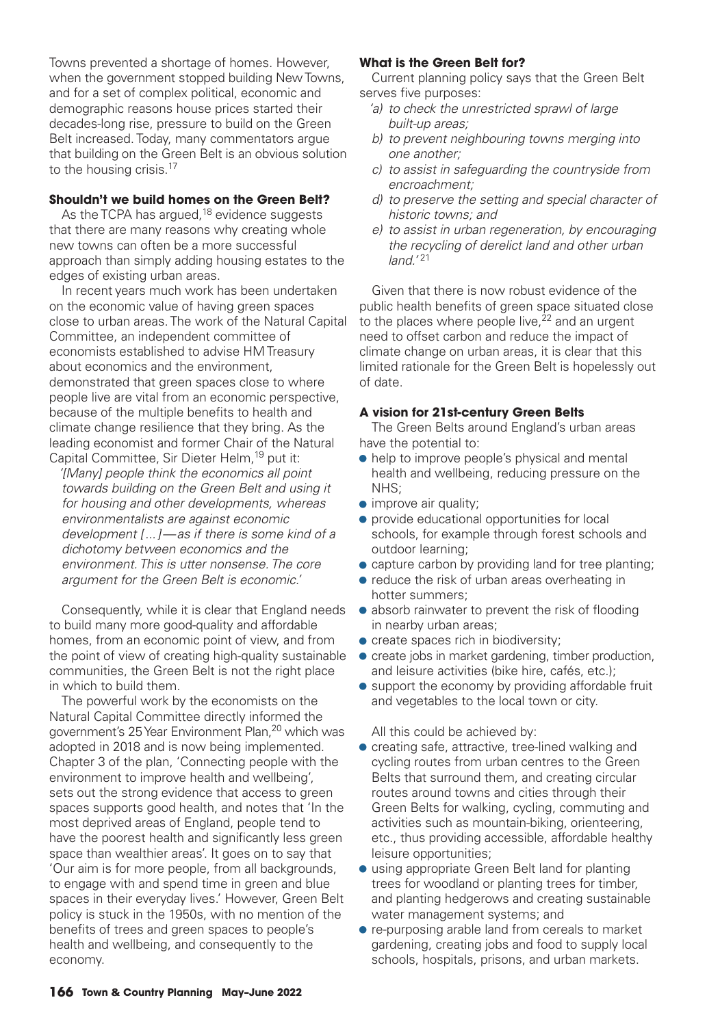Towns prevented a shortage of homes. However, when the government stopped building New Towns, and for a set of complex political, economic and demographic reasons house prices started their decades-long rise, pressure to build on the Green Belt increased. Today, many commentators argue that building on the Green Belt is an obvious solution to the housing crisis.<sup>17</sup>

## **Shouldn't we build homes on the Green Belt?**

As the TCPA has argued, $18$  evidence suggests that there are many reasons why creating whole new towns can often be a more successful approach than simply adding housing estates to the edges of existing urban areas.

 In recent years much work has been undertaken on the economic value of having green spaces close to urban areas. The work of the Natural Capital Committee, an independent committee of economists established to advise HM Treasury about economics and the environment, demonstrated that green spaces close to where people live are vital from an economic perspective, because of the multiple benefits to health and climate change resilience that they bring. As the leading economist and former Chair of the Natural Capital Committee, Sir Dieter Helm,19 put it:

*'[Many] people think the economics all point towards building on the Green Belt and using it for housing and other developments, whereas environmentalists are against economic development [ ... ] — as if there is some kind of a dichotomy between economics and the environment. This is utter nonsense. The core argument for the Green Belt is economic.'*

 Consequently, while it is clear that England needs to build many more good-quality and affordable homes, from an economic point of view, and from the point of view of creating high-quality sustainable communities, the Green Belt is not the right place in which to build them.

 The powerful work by the economists on the Natural Capital Committee directly informed the government's 25 Year Environment Plan,<sup>20</sup> which was adopted in 2018 and is now being implemented. Chapter 3 of the plan, 'Connecting people with the environment to improve health and wellbeing', sets out the strong evidence that access to green spaces supports good health, and notes that 'In the most deprived areas of England, people tend to have the poorest health and significantly less green space than wealthier areas'. It goes on to say that 'Our aim is for more people, from all backgrounds, to engage with and spend time in green and blue spaces in their everyday lives.' However, Green Belt policy is stuck in the 1950s, with no mention of the benefits of trees and green spaces to people's health and wellbeing, and consequently to the economy.

## **What is the Green Belt for?**

Current planning policy says that the Green Belt serves five purposes:

- *'a) to check the unrestricted sprawl of large built-up areas;*
- *b) to prevent neighbouring towns merging into one another;*
- *c) to assist in safeguarding the countryside from encroachment;*
- *d) to preserve the setting and special character of historic towns; and*
- *e) to assist in urban regeneration, by encouraging the recycling of derelict land and other urban land.'*<sup>21</sup>

 Given that there is now robust evidence of the public health benefits of green space situated close to the places where people live, $22$  and an urgent need to offset carbon and reduce the impact of climate change on urban areas, it is clear that this limited rationale for the Green Belt is hopelessly out of date.

## **A vision for 21st-century Green Belts**

The Green Belts around England's urban areas have the potential to:

- help to improve people's physical and mental health and wellbeing, reducing pressure on the NHS;
- improve air quality;
- provide educational opportunities for local schools, for example through forest schools and outdoor learning;
- capture carbon by providing land for tree planting;
- reduce the risk of urban areas overheating in hotter summers;
- $\bullet$  absorb rainwater to prevent the risk of flooding in nearby urban areas;
- create spaces rich in biodiversity;
- create jobs in market gardening, timber production, and leisure activities (bike hire, cafés, etc.);
- $\bullet$  support the economy by providing affordable fruit and vegetables to the local town or city.

All this could be achieved by:

- creating safe, attractive, tree-lined walking and cycling routes from urban centres to the Green Belts that surround them, and creating circular routes around towns and cities through their Green Belts for walking, cycling, commuting and activities such as mountain-biking, orienteering, etc., thus providing accessible, affordable healthy leisure opportunities;
- using appropriate Green Belt land for planting trees for woodland or planting trees for timber, and planting hedgerows and creating sustainable water management systems; and
- re-purposing arable land from cereals to market gardening, creating jobs and food to supply local schools, hospitals, prisons, and urban markets.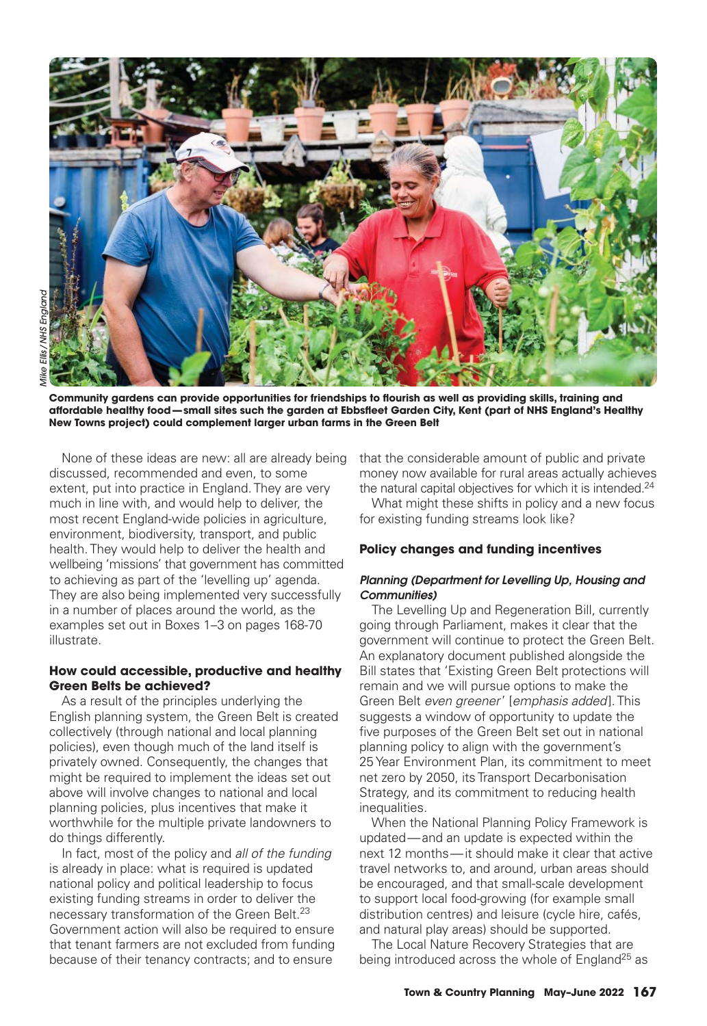

Community gardens can provide opportunities for friendships to flourish as well as providing skills, training and affordable healthy food—small sites such the garden at Ebbsfleet Garden City, Kent (part of NHS England's Healthy **New Towns project) could complement larger urban farms in the Green Belt**

 None of these ideas are new: all are already being discussed, recommended and even, to some extent, put into practice in England. They are very much in line with, and would help to deliver, the most recent England-wide policies in agriculture, environment, biodiversity, transport, and public health. They would help to deliver the health and wellbeing 'missions' that government has committed to achieving as part of the 'levelling up' agenda. They are also being implemented very successfully in a number of places around the world, as the examples set out in Boxes 1–3 on pages 168-70 illustrate.

## **How could accessible, productive and healthy Green Belts be achieved?**

As a result of the principles underlying the English planning system, the Green Belt is created collectively (through national and local planning policies), even though much of the land itself is privately owned. Consequently, the changes that might be required to implement the ideas set out above will involve changes to national and local planning policies, plus incentives that make it worthwhile for the multiple private landowners to do things differently.

 In fact, most of the policy and *all of the funding* is already in place: what is required is updated national policy and political leadership to focus existing funding streams in order to deliver the necessary transformation of the Green Belt.<sup>23</sup> Government action will also be required to ensure that tenant farmers are not excluded from funding because of their tenancy contracts; and to ensure

that the considerable amount of public and private money now available for rural areas actually achieves the natural capital objectives for which it is intended.<sup>24</sup>

 What might these shifts in policy and a new focus for existing funding streams look like?

## **Policy changes and funding incentives**

## *Planning (Department for Levelling Up, Housing and Communities)*

 The Levelling Up and Regeneration Bill, currently going through Parliament, makes it clear that the government will continue to protect the Green Belt. An explanatory document published alongside the Bill states that 'Existing Green Belt protections will remain and we will pursue options to make the Green Belt *even greener*' [*emphasis added* ]. This suggests a window of opportunity to update the five purposes of the Green Belt set out in national planning policy to align with the government's 25 Year Environment Plan, its commitment to meet net zero by 2050, its Transport Decarbonisation Strategy, and its commitment to reducing health inequalities.

 When the National Planning Policy Framework is updated — and an update is expected within the next 12 months — it should make it clear that active travel networks to, and around, urban areas should be encouraged, and that small-scale development to support local food-growing (for example small distribution centres) and leisure (cycle hire, cafés, and natural play areas) should be supported.

 The Local Nature Recovery Strategies that are being introduced across the whole of England<sup>25</sup> as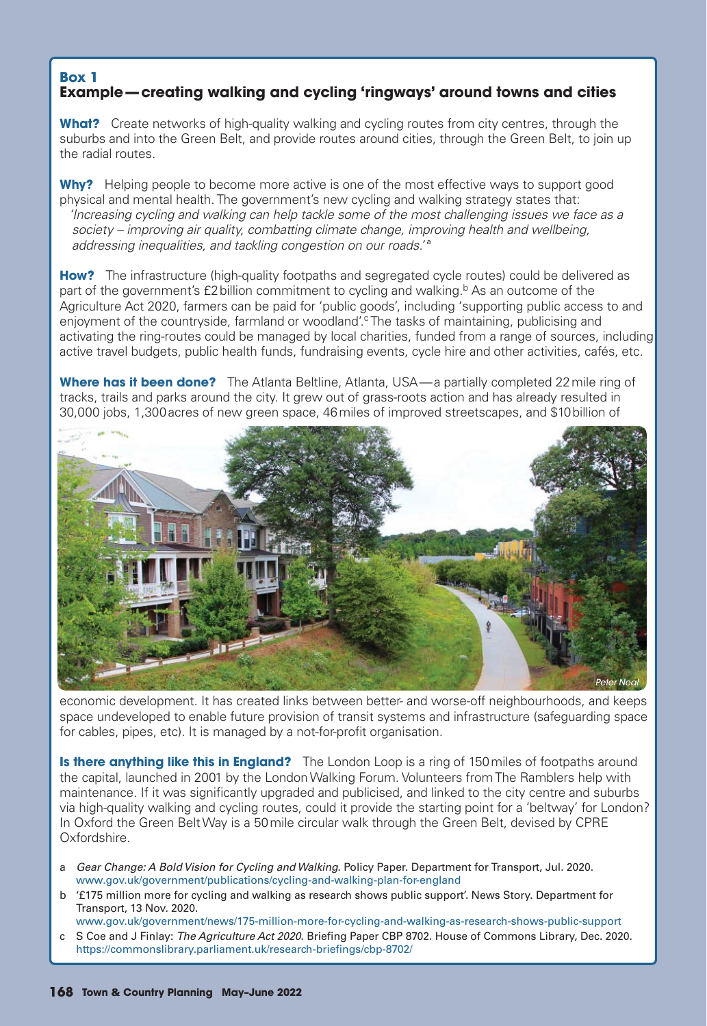## **Box 1 Example — creating walking and cycling 'ringways' around towns and cities**

**What?** Create networks of high-quality walking and cycling routes from city centres, through the suburbs and into the Green Belt, and provide routes around cities, through the Green Belt, to join up the radial routes.

**Why?** Helping people to become more active is one of the most effective ways to support good physical and mental health. The government's new cycling and walking strategy states that: *'Increasing cycling and walking can help tackle some of the most challenging issues we face as a society – improving air quality, combatting climate change, improving health and wellbeing, addressing inequalities, and tackling congestion on our roads.'* ª

**How?** The infrastructure (high-quality footpaths and segregated cycle routes) could be delivered as part of the government's  $E2$  billion commitment to cycling and walking.<sup>b</sup> As an outcome of the Agriculture Act 2020, farmers can be paid for 'public goods', including 'supporting public access to and enjoyment of the countryside, farmland or woodland'.<sup>c</sup> The tasks of maintaining, publicising and activating the ring-routes could be managed by local charities, funded from a range of sources, including active travel budgets, public health funds, fundraising events, cycle hire and other activities, cafés, etc.

**Where has it been done?** The Atlanta Beltline, Atlanta, USA—a partially completed 22 mile ring of tracks, trails and parks around the city. It grew out of grass-roots action and has already resulted in 30,000 jobs, 1,300 acres of new green space, 46 miles of improved streetscapes, and \$10 billion of



economic development. It has created links between better- and worse-off neighbourhoods, and keeps space undeveloped to enable future provision of transit systems and infrastructure (safeguarding space for cables, pipes, etc). It is managed by a not-for-profit organisation.

**Is there anything like this in England?** The London Loop is a ring of 150 miles of footpaths around the capital, launched in 2001 by the London Walking Forum. Volunteers from The Ramblers help with maintenance. If it was significantly upgraded and publicised, and linked to the city centre and suburbs via high-quality walking and cycling routes, could it provide the starting point for a 'beltway' for London? In Oxford the Green Belt Way is a 50 mile circular walk through the Green Belt, devised by CPRE Oxfordshire.

- a *Gear Change: A Bold Vision for Cycling and Walking*. Policy Paper. Department for Transport, Jul. 2020. www.gov.uk/government/publications/cycling-and-walking-plan-for-england
- b '£175 million more for cycling and walking as research shows public support'. News Story. Department for Transport, 13 Nov. 2020.
- www.gov.uk/government/news/175-million-more-for-cycling-and-walking-as-research-shows-public-support c S Coe and J Finlay: *The Agriculture Act 2020*. Briefing Paper CBP 8702. House of Commons Library, Dec. 2020. https://commonslibrary.parliament.uk/research-briefings/cbp-8702/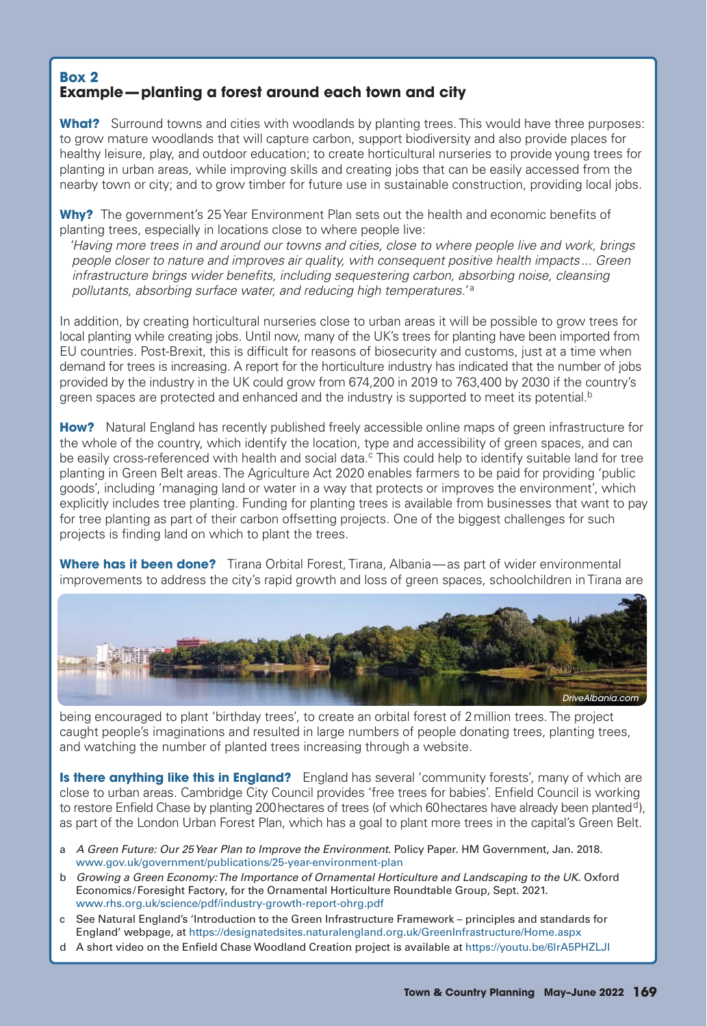# **Box 2 Example — planting a forest around each town and city**

**What?** Surround towns and cities with woodlands by planting trees. This would have three purposes: to grow mature woodlands that will capture carbon, support biodiversity and also provide places for healthy leisure, play, and outdoor education; to create horticultural nurseries to provide young trees for planting in urban areas, while improving skills and creating jobs that can be easily accessed from the nearby town or city; and to grow timber for future use in sustainable construction, providing local jobs.

**Why?** The government's 25 Year Environment Plan sets out the health and economic benefits of planting trees, especially in locations close to where people live:

*'Having more trees in and around our towns and cities, close to where people live and work, brings people closer to nature and improves air quality, with consequent positive health impacts ... Green infrastructure brings wider benefits, including sequestering carbon, absorbing noise, cleansing pollutants, absorbing surface water, and reducing high temperatures.'* <sup>a</sup>

In addition, by creating horticultural nurseries close to urban areas it will be possible to grow trees for local planting while creating jobs. Until now, many of the UK's trees for planting have been imported from EU countries. Post-Brexit, this is difficult for reasons of biosecurity and customs, just at a time when demand for trees is increasing. A report for the horticulture industry has indicated that the number of jobs provided by the industry in the UK could grow from 674,200 in 2019 to 763,400 by 2030 if the country's green spaces are protected and enhanced and the industry is supported to meet its potential.<sup>b</sup>

**How?** Natural England has recently published freely accessible online maps of green infrastructure for the whole of the country, which identify the location, type and accessibility of green spaces, and can be easily cross-referenced with health and social data.<sup>c</sup> This could help to identify suitable land for tree planting in Green Belt areas. The Agriculture Act 2020 enables farmers to be paid for providing 'public goods', including 'managing land or water in a way that protects or improves the environment', which explicitly includes tree planting. Funding for planting trees is available from businesses that want to pay for tree planting as part of their carbon offsetting projects. One of the biggest challenges for such projects is finding land on which to plant the trees.

**Where has it been done?** Tirana Orbital Forest, Tirana, Albania—as part of wider environmental improvements to address the city's rapid growth and loss of green spaces, schoolchildren in Tirana are



being encouraged to plant 'birthday trees', to create an orbital forest of 2 million trees. The project caught people's imaginations and resulted in large numbers of people donating trees, planting trees, and watching the number of planted trees increasing through a website.

**Is there anything like this in England?** England has several 'community forests', many of which are close to urban areas. Cambridge City Council provides 'free trees for babies'. Enfield Council is working to restore Enfield Chase by planting 200 hectares of trees (of which 60 hectares have already been planted<sup>d</sup>), as part of the London Urban Forest Plan, which has a goal to plant more trees in the capital's Green Belt.

- a *A Green Future: Our 25 Year Plan to Improve the Environment*. Policy Paper. HM Government, Jan. 2018. www.gov.uk/government/publications/25-year-environment-plan
- b *Growing a Green Economy: The Importance of Ornamental Horticulture and Landscaping to the UK*. Oxford Economics / Foresight Factory, for the Ornamental Horticulture Roundtable Group, Sept. 2021. www.rhs.org.uk/science/pdf/industry-growth-report-ohrg.pdf
- c See Natural England's 'Introduction to the Green Infrastructure Framework principles and standards for England' webpage, at https://designatedsites.naturalengland.org.uk/GreenInfrastructure/Home.aspx
- d A short video on the Enfield Chase Woodland Creation project is available at https://youtu.be/6lrA5PHZLJI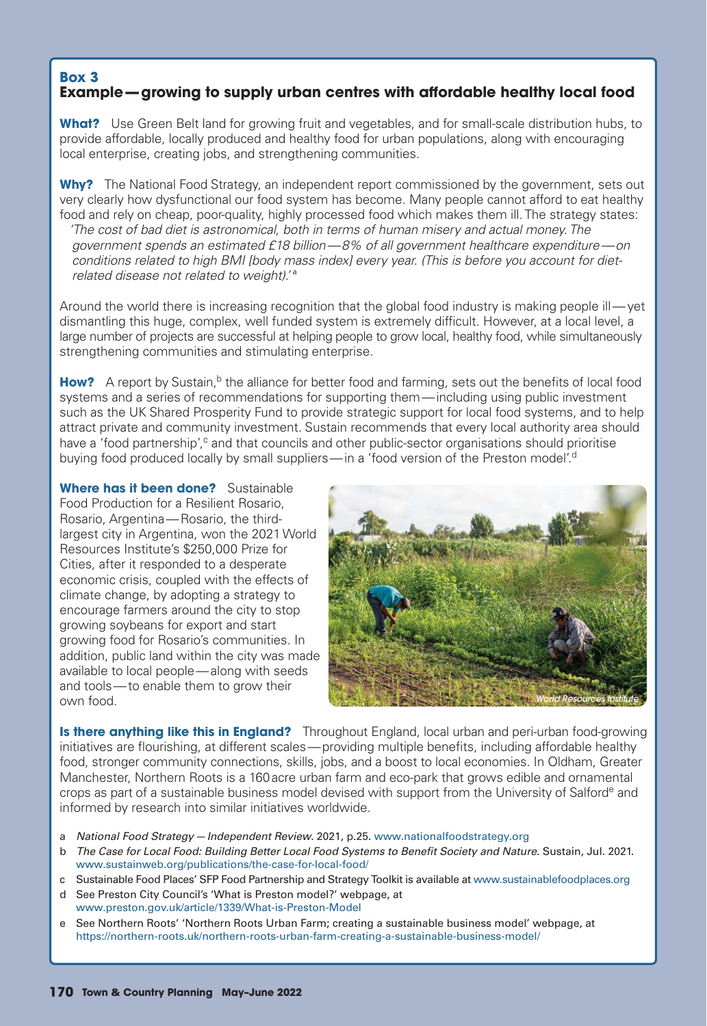## **Box 3 Example — growing to supply urban centres with affordable healthy local food**

**What?** Use Green Belt land for growing fruit and vegetables, and for small-scale distribution hubs, to provide affordable, locally produced and healthy food for urban populations, along with encouraging local enterprise, creating jobs, and strengthening communities.

**Why?** The National Food Strategy, an independent report commissioned by the government, sets out very clearly how dysfunctional our food system has become. Many people cannot afford to eat healthy food and rely on cheap, poor-quality, highly processed food which makes them ill. The strategy states: *'The cost of bad diet is astronomical, both in terms of human misery and actual money. The government spends an estimated £18 billion — 8% of all government healthcare expenditure — on conditions related to high BMI [body mass index] every year. (This is before you account for dietrelated disease not related to weight).'* ª

Around the world there is increasing recognition that the global food industry is making people ill—yet dismantling this huge, complex, well funded system is extremely difficult. However, at a local level, a large number of projects are successful at helping people to grow local, healthy food, while simultaneously strengthening communities and stimulating enterprise.

**How?** A report by Sustain,<sup>b</sup> the alliance for better food and farming, sets out the benefits of local food systems and a series of recommendations for supporting them — including using public investment such as the UK Shared Prosperity Fund to provide strategic support for local food systems, and to help attract private and community investment. Sustain recommends that every local authority area should have a 'food partnership',<sup>c</sup> and that councils and other public-sector organisations should prioritise buying food produced locally by small suppliers—in a 'food version of the Preston model'.<sup>d</sup>

**Where has it been done?** Sustainable Food Production for a Resilient Rosario, Rosario, Argentina — Rosario, the thirdlargest city in Argentina, won the 2021 World Resources Institute's \$250,000 Prize for Cities, after it responded to a desperate economic crisis, coupled with the effects of climate change, by adopting a strategy to encourage farmers around the city to stop growing soybeans for export and start growing food for Rosario's communities. In addition, public land within the city was made available to local people — along with seeds and tools — to enable them to grow their own food.



**Is there anything like this in England?** Throughout England, local urban and peri-urban food-growing initiatives are flourishing, at different scales — providing multiple benefits, including affordable healthy food, stronger community connections, skills, jobs, and a boost to local economies. In Oldham, Greater Manchester, Northern Roots is a 160 acre urban farm and eco-park that grows edible and ornamental crops as part of a sustainable business model devised with support from the University of Salforde and informed by research into similar initiatives worldwide.

- a *National Food Strategy Independent Review*. 2021, p.25. www.nationalfoodstrategy.org
- b *The Case for Local Food: Building Better Local Food Systems to Benefit Society and Nature*. Sustain, Jul. 2021. www.sustainweb.org/publications/the-case-for-local-food/
- c Sustainable Food Places' SFP Food Partnership and Strategy Toolkit is available at www.sustainablefoodplaces.org
- d See Preston City Council's 'What is Preston model?' webpage, at www.preston.gov.uk/article/1339/What-is-Preston-Model
- e See Northern Roots' 'Northern Roots Urban Farm; creating a sustainable business model' webpage, at https://northern-roots.uk/northern-roots-urban-farm-creating-a-sustainable-business-model/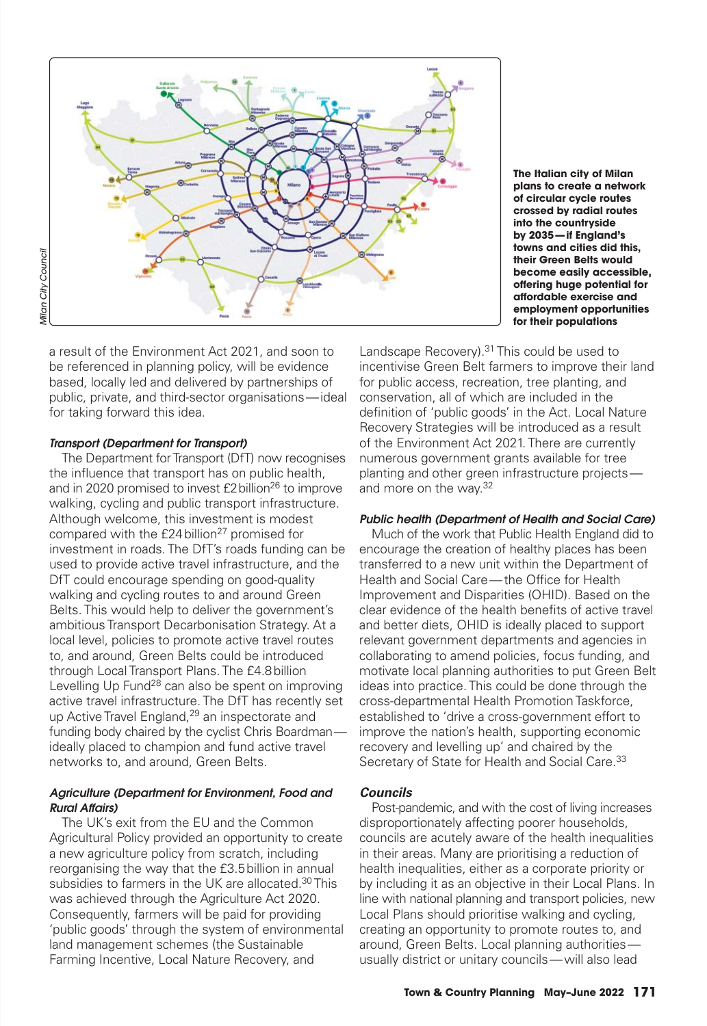

**The Italian city of Milan plans to create a network of circular cycle routes crossed by radial routes into the countryside by 2035 — if England's towns and cities did this, their Green Belts would become easily accessible, off ering huge potential for aff ordable exercise and employment opportunities for their populations**

a result of the Environment Act 2021, and soon to be referenced in planning policy, will be evidence based, locally led and delivered by partnerships of public, private, and third-sector organisations — ideal for taking forward this idea.

## *Transport (Department for Transport)*

The Department for Transport (DfT) now recognises the influence that transport has on public health, and in 2020 promised to invest £2 billion<sup>26</sup> to improve walking, cycling and public transport infrastructure. Although welcome, this investment is modest compared with the £24 billion<sup>27</sup> promised for investment in roads. The DfT's roads funding can be used to provide active travel infrastructure, and the DfT could encourage spending on good-quality walking and cycling routes to and around Green Belts. This would help to deliver the government's ambitious Transport Decarbonisation Strategy. At a local level, policies to promote active travel routes to, and around, Green Belts could be introduced through Local Transport Plans. The £4.8 billion Levelling Up Fund<sup>28</sup> can also be spent on improving active travel infrastructure. The DfT has recently set up Active Travel England,<sup>29</sup> an inspectorate and funding body chaired by the cyclist Chris Boardmanideally placed to champion and fund active travel networks to, and around, Green Belts.

## *Agriculture (Department for Environment, Food and Rural Aff airs)*

The UK's exit from the EU and the Common Agricultural Policy provided an opportunity to create a new agriculture policy from scratch, including reorganising the way that the £3.5 billion in annual subsidies to farmers in the UK are allocated.<sup>30</sup> This was achieved through the Agriculture Act 2020. Consequently, farmers will be paid for providing 'public goods' through the system of environmental land management schemes (the Sustainable Farming Incentive, Local Nature Recovery, and

Landscape Recovery).<sup>31</sup> This could be used to incentivise Green Belt farmers to improve their land for public access, recreation, tree planting, and conservation, all of which are included in the definition of 'public goods' in the Act. Local Nature Recovery Strategies will be introduced as a result of the Environment Act 2021. There are currently numerous government grants available for tree planting and other green infrastructure projects and more on the way.32

## *Public health (Department of Health and Social Care)*

Much of the work that Public Health England did to encourage the creation of healthy places has been transferred to a new unit within the Department of Health and Social Care-the Office for Health Improvement and Disparities (OHID). Based on the clear evidence of the health benefits of active travel and better diets, OHID is ideally placed to support relevant government departments and agencies in collaborating to amend policies, focus funding, and motivate local planning authorities to put Green Belt ideas into practice. This could be done through the cross-departmental Health Promotion Taskforce, established to 'drive a cross-government effort to improve the nation's health, supporting economic recovery and levelling up' and chaired by the Secretary of State for Health and Social Care.<sup>33</sup>

## *Councils*

Post-pandemic, and with the cost of living increases disproportionately affecting poorer households, councils are acutely aware of the health inequalities in their areas. Many are prioritising a reduction of health inequalities, either as a corporate priority or by including it as an objective in their Local Plans. In line with national planning and transport policies, new Local Plans should prioritise walking and cycling, creating an opportunity to promote routes to, and around, Green Belts. Local planning authorities usually district or unitary councils — will also lead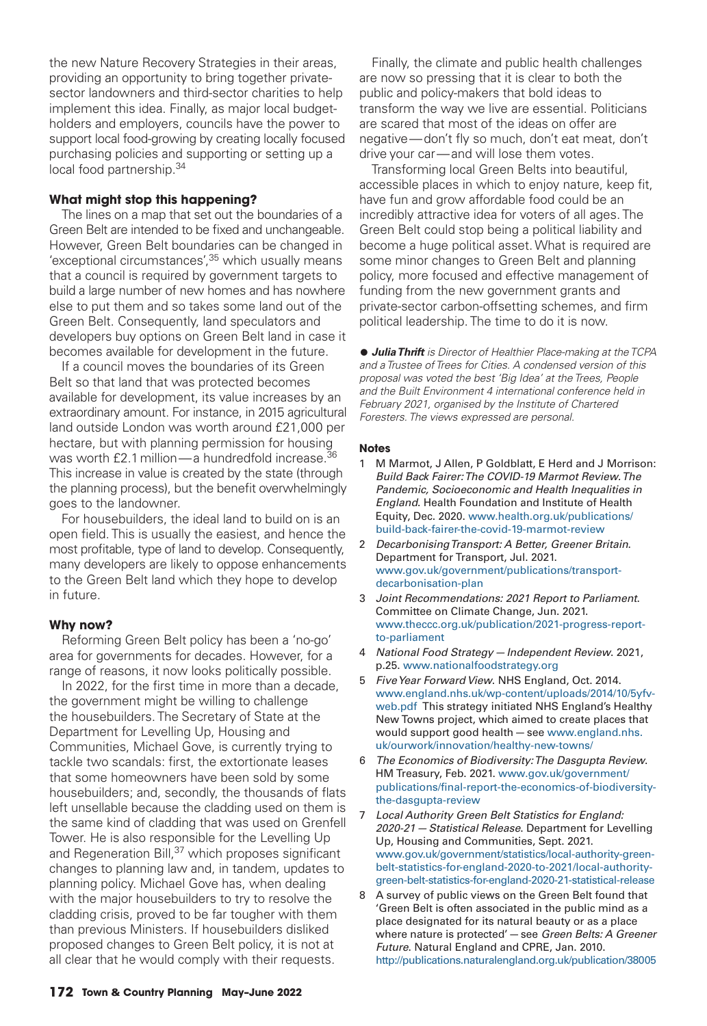the new Nature Recovery Strategies in their areas, providing an opportunity to bring together privatesector landowners and third-sector charities to help implement this idea. Finally, as major local budgetholders and employers, councils have the power to support local food-growing by creating locally focused purchasing policies and supporting or setting up a local food partnership.34

## **What might stop this happening?**

The lines on a map that set out the boundaries of a Green Belt are intended to be fixed and unchangeable. However, Green Belt boundaries can be changed in 'exceptional circumstances', <sup>35</sup> which usually means that a council is required by government targets to build a large number of new homes and has nowhere else to put them and so takes some land out of the Green Belt. Consequently, land speculators and developers buy options on Green Belt land in case it becomes available for development in the future.

 If a council moves the boundaries of its Green Belt so that land that was protected becomes available for development, its value increases by an extraordinary amount. For instance, in 2015 agricultural land outside London was worth around £21,000 per hectare, but with planning permission for housing was worth £2.1 million — a hundredfold increase.<sup>36</sup> This increase in value is created by the state (through the planning process), but the benefit overwhelmingly goes to the landowner.

 For housebuilders, the ideal land to build on is an open field. This is usually the easiest, and hence the most profitable, type of land to develop. Consequently, many developers are likely to oppose enhancements to the Green Belt land which they hope to develop in future.

#### **Why now?**

Reforming Green Belt policy has been a 'no-go' area for governments for decades. However, for a range of reasons, it now looks politically possible.

In 2022, for the first time in more than a decade, the government might be willing to challenge the housebuilders. The Secretary of State at the Department for Levelling Up, Housing and Communities, Michael Gove, is currently trying to tackle two scandals: first, the extortionate leases that some homeowners have been sold by some housebuilders; and, secondly, the thousands of flats left unsellable because the cladding used on them is the same kind of cladding that was used on Grenfell Tower. He is also responsible for the Levelling Up and Regeneration Bill,<sup>37</sup> which proposes significant changes to planning law and, in tandem, updates to planning policy. Michael Gove has, when dealing with the major housebuilders to try to resolve the cladding crisis, proved to be far tougher with them than previous Ministers. If housebuilders disliked proposed changes to Green Belt policy, it is not at all clear that he would comply with their requests.

 Finally, the climate and public health challenges are now so pressing that it is clear to both the public and policy-makers that bold ideas to transform the way we live are essential. Politicians are scared that most of the ideas on offer are negative - don't fly so much, don't eat meat, don't drive your car — and will lose them votes.

 Transforming local Green Belts into beautiful, accessible places in which to enjoy nature, keep fit. have fun and grow affordable food could be an incredibly attractive idea for voters of all ages. The Green Belt could stop being a political liability and become a huge political asset. What is required are some minor changes to Green Belt and planning policy, more focused and effective management of funding from the new government grants and private-sector carbon-off setting schemes, and firm political leadership. The time to do it is now.

• *Julia Thrift is Director of Healthier Place-making at the TCPA and a Trustee of Trees for Cities. A condensed version of this proposal was voted the best 'Big Idea' at the Trees, People and the Built Environment 4 international conference held in February 2021, organised by the Institute of Chartered Foresters. The views expressed are personal.*

#### **Notes**

- 1 M Marmot, J Allen, P Goldblatt, E Herd and J Morrison: *Build Back Fairer: The COVID-19 Marmot Review. The Pandemic, Socioeconomic and Health Inequalities in England*. Health Foundation and Institute of Health Equity, Dec. 2020. www.health.org.uk/publications/ build-back-fairer-the-covid-19-marmot-review
- 2 *Decarbonising Transport: A Better, Greener Britain*. Department for Transport, Jul. 2021. www.gov.uk/government/publications/transportdecarbonisation-plan
- 3 *Joint Recommendations: 2021 Report to Parliament*. Committee on Climate Change, Jun. 2021. www.theccc.org.uk/publication/2021-progress-reportto-parliament
- 4 *National Food Strategy Independent Review*. 2021, p.25. www.nationalfoodstrategy.org
- 5 *Five Year Forward View*. NHS England, Oct. 2014. www.england.nhs.uk/wp-content/uploads/2014/10/5yfvweb.pdf This strategy initiated NHS England's Healthy New Towns project, which aimed to create places that would support good health — see www.england.nhs. uk/ourwork/innovation/healthy-new-towns/
- 6 *The Economics of Biodiversity: The Dasgupta Review*. HM Treasury, Feb. 2021. www.gov.uk/government/ publications/final-report-the-economics-of-biodiversitythe-dasgupta-review
- 7 *Local Authority Green Belt Statistics for England: 2020-21 — Statistical Release*. Department for Levelling Up, Housing and Communities, Sept. 2021. www.gov.uk/government/statistics/local-authority-greenbelt-statistics-for-england-2020-to-2021/local-authoritygreen-belt-statistics-for-england-2020-21-statistical-release
- 8 A survey of public views on the Green Belt found that 'Green Belt is often associated in the public mind as a place designated for its natural beauty or as a place where nature is protected' — see *Green Belts: A Greener Future*. Natural England and CPRE, Jan. 2010. http://publications.naturalengland.org.uk/publication/38005